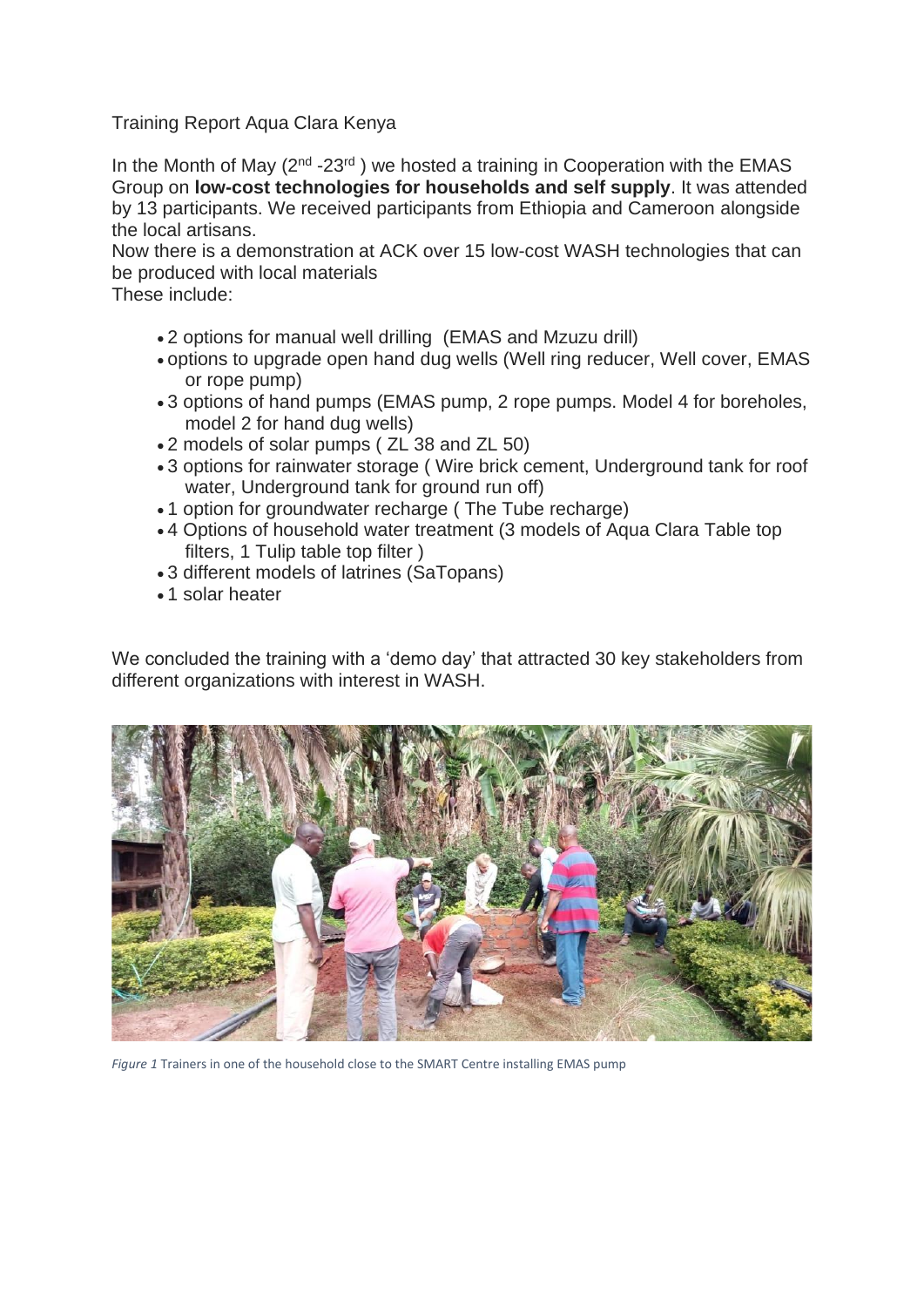## Training Report Aqua Clara Kenya

In the Month of May  $(2^{nd} - 23^{rd})$  we hosted a training in Cooperation with the EMAS Group on **low-cost technologies for households and self supply**. It was attended by 13 participants. We received participants from Ethiopia and Cameroon alongside the local artisans.

Now there is a demonstration at ACK over 15 low-cost WASH technologies that can be produced with local materials

These include:

- 2 options for manual well drilling (EMAS and Mzuzu drill)
- options to upgrade open hand dug wells (Well ring reducer, Well cover, EMAS or rope pump)
- 3 options of hand pumps (EMAS pump, 2 rope pumps. Model 4 for boreholes, model 2 for hand dug wells)
- 2 models of solar pumps ( ZL 38 and ZL 50)
- 3 options for rainwater storage ( Wire brick cement, Underground tank for roof water. Underground tank for ground run off)
- 1 option for groundwater recharge ( The Tube recharge)
- 4 Options of household water treatment (3 models of Aqua Clara Table top filters, 1 Tulip table top filter )
- 3 different models of latrines (SaTopans)
- 1 solar heater

We concluded the training with a 'demo day' that attracted 30 key stakeholders from different organizations with interest in WASH.



*Figure 1* Trainers in one of the household close to the SMART Centre installing EMAS pump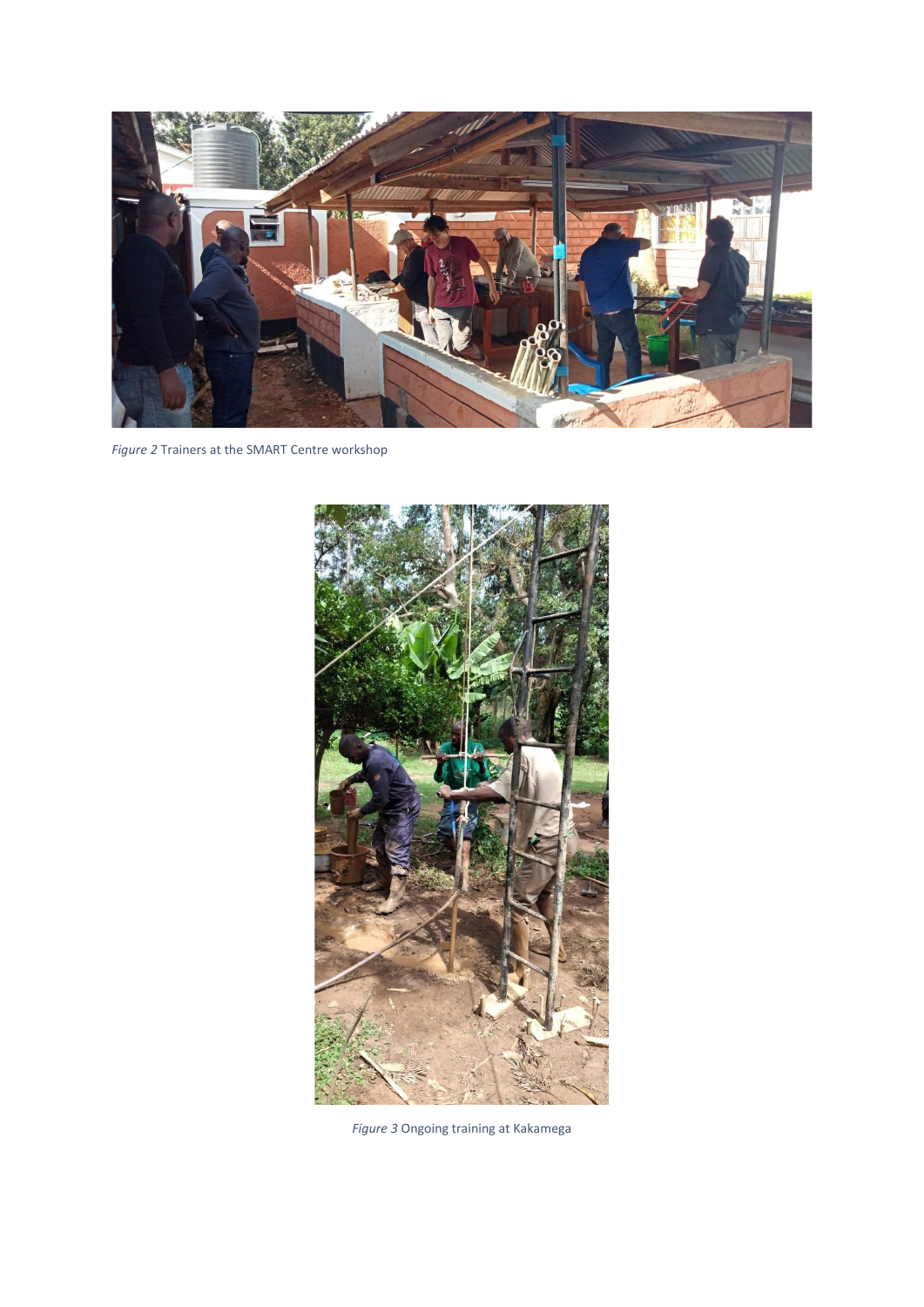

*Figure 2* Trainers at the SMART Centre workshop



*Figure 3* Ongoing training at Kakamega